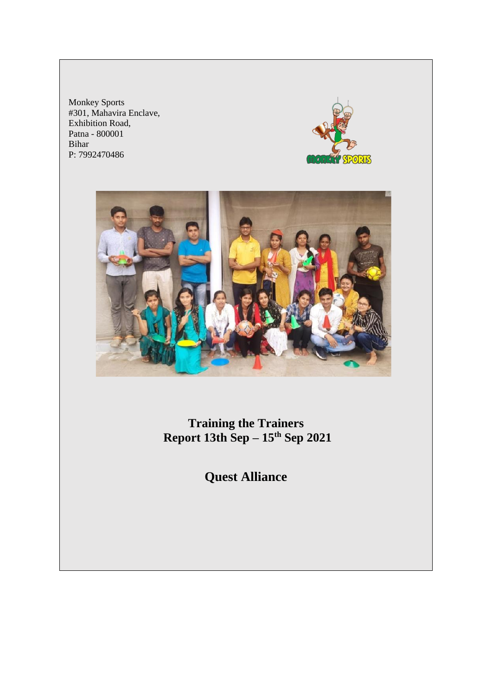Monkey Sports #301, Mahavira Enclave, Exhibition Road, Patna - 800001 Bihar P: 7992470486





**Training the Trainers Report 13th Sep – 15th Sep 2021**

**Quest Alliance**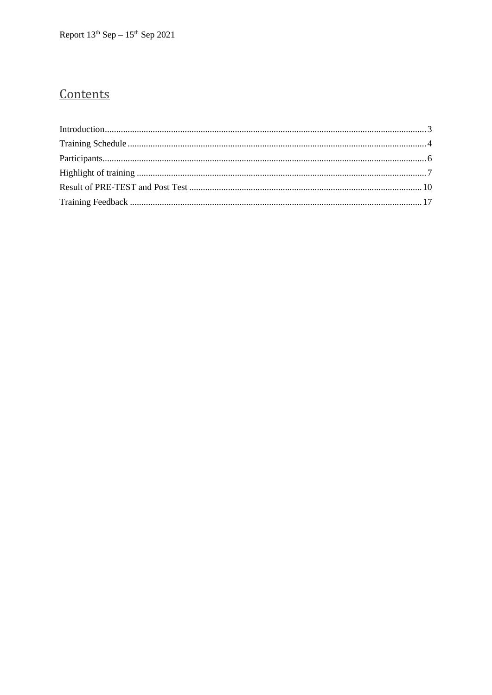### Contents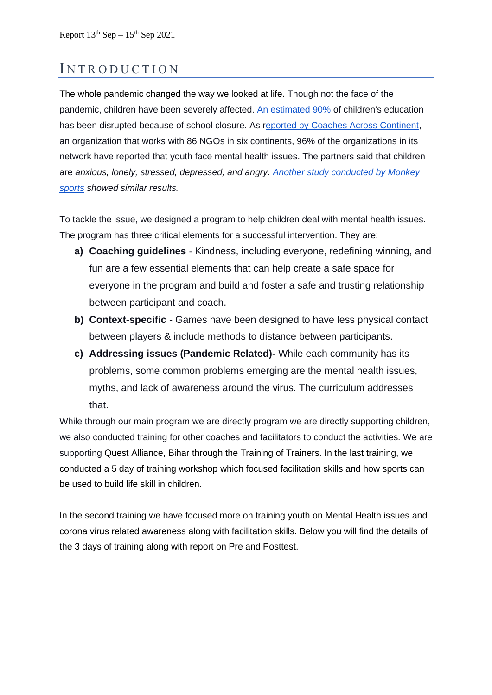### <span id="page-2-0"></span>INTRODUCTION

The whole pandemic changed the way we looked at life. Though not the face of the pandemic, children have been severely affected. [An estimated 90%](https://link.springer.com/article/10.1007/s00787-020-01549-w) of children's education has been disrupted because of school closure. As [reported by Coaches Across Continent,](https://l.workplace.com/l.php?u=https%3A%2F%2Fcdn.fbsbx.com%2Fv%2Ft59.2708-21%2F119137005_3558914040788268_5800816706797502978_n.pdf%2FMental-Well-Being-During-Covid-pdf.pdf%3F_nc_cat%3D104%26_nc_sid%3D0cab14%26_nc_ohc%3DQq6bENUYlhUAX9kjMjx%26_nc_ht%3Dcdn.fbsbx.com%26oh%3Da7b065de6d04c440751551ab0fd3fae9%26oe%3D5F63CA1B%26dl%3D1&h=AT2AhuR3xO1DVodGSCZEJ_-fiZuR1IXbKloRzaEv5H1-RilraJkPT66mWd1mZ1-TKe4vy_QYWYyjrpi445V2cD9Tls-8rrm4hA7gAmFZD_OhfhIYnbqfNKo22JCPwNrfVjn6K1HRcszSeaYF23q-FBkAINWr&s=1) an organization that works with 86 NGOs in six continents, 96% of the organizations in its network have reported that youth face mental health issues. The partners said that children are *anxious, lonely, stressed, depressed, and angry. [Another study conducted by Monkey](https://monkeysports.in/wp-content/uploads/2020/05/Survey-Report-of-Physical-Mental-Health.pdf)  [sports](https://monkeysports.in/wp-content/uploads/2020/05/Survey-Report-of-Physical-Mental-Health.pdf) showed similar results.*

To tackle the issue, we designed a program to help children deal with mental health issues. The program has three critical elements for a successful intervention. They are:

- **a) Coaching guidelines** Kindness, including everyone, redefining winning, and fun are a few essential elements that can help create a safe space for everyone in the program and build and foster a safe and trusting relationship between participant and coach.
- **b) Context-specific** Games have been designed to have less physical contact between players & include methods to distance between participants.
- **c) Addressing issues (Pandemic Related)-** While each community has its problems, some common problems emerging are the mental health issues, myths, and lack of awareness around the virus. The curriculum addresses that.

While through our main program we are directly program we are directly supporting children, we also conducted training for other coaches and facilitators to conduct the activities. We are supporting Quest Alliance, Bihar through the Training of Trainers. In the last training, we conducted a 5 day of training workshop which focused facilitation skills and how sports can be used to build life skill in children.

In the second training we have focused more on training youth on Mental Health issues and corona virus related awareness along with facilitation skills. Below you will find the details of the 3 days of training along with report on Pre and Posttest.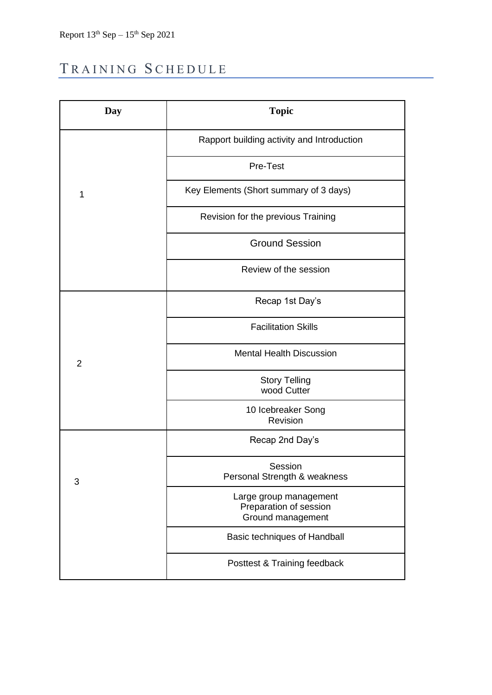# <span id="page-3-0"></span>TRAINING SCHEDULE

| Day            | <b>Topic</b>                                                          |  |
|----------------|-----------------------------------------------------------------------|--|
|                | Rapport building activity and Introduction                            |  |
|                | Pre-Test                                                              |  |
| $\mathbf{1}$   | Key Elements (Short summary of 3 days)                                |  |
|                | Revision for the previous Training                                    |  |
|                | <b>Ground Session</b>                                                 |  |
|                | Review of the session                                                 |  |
| $\overline{2}$ | Recap 1st Day's                                                       |  |
|                | <b>Facilitation Skills</b>                                            |  |
|                | <b>Mental Health Discussion</b>                                       |  |
|                | <b>Story Telling</b><br>wood Cutter                                   |  |
|                | 10 Icebreaker Song<br>Revision                                        |  |
| 3              | Recap 2nd Day's                                                       |  |
|                | Session<br>Personal Strength & weakness                               |  |
|                | Large group management<br>Preparation of session<br>Ground management |  |
|                | Basic techniques of Handball                                          |  |
|                | Posttest & Training feedback                                          |  |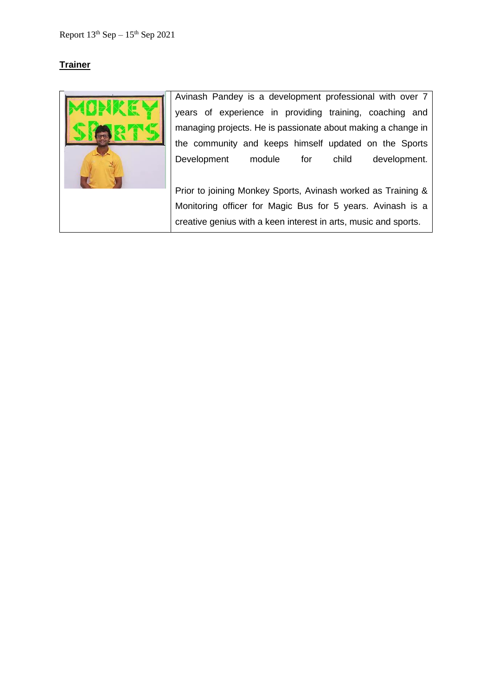### **Trainer**



Avinash Pandey is a development professional with over 7 years of experience in providing training, coaching and managing projects. He is passionate about making a change in the community and keeps himself updated on the Sports Development module for child development.

Prior to joining Monkey Sports, Avinash worked as Training & Monitoring officer for Magic Bus for 5 years. Avinash is a creative genius with a keen interest in arts, music and sports.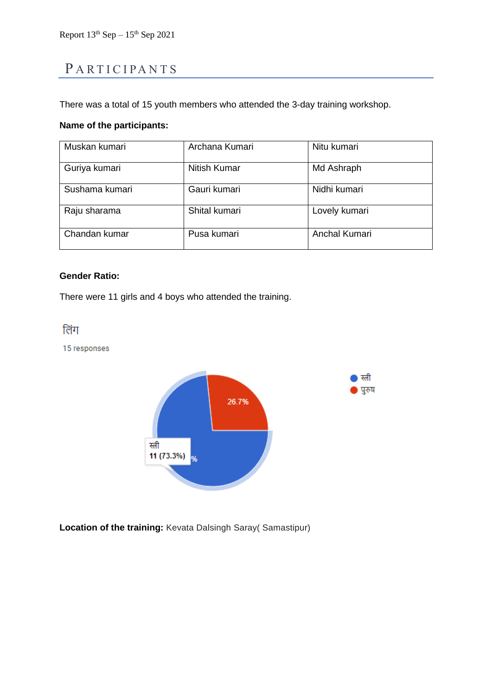## <span id="page-5-0"></span>PARTICIPANTS

There was a total of 15 youth members who attended the 3-day training workshop.

### **Name of the participants:**

| Muskan kumari  | Archana Kumari | Nitu kumari   |
|----------------|----------------|---------------|
| Guriya kumari  | Nitish Kumar   | Md Ashraph    |
| Sushama kumari | Gauri kumari   | Nidhi kumari  |
| Raju sharama   | Shital kumari  | Lovely kumari |
| Chandan kumar  | Pusa kumari    | Anchal Kumari |

### **Gender Ratio:**

There were 11 girls and 4 boys who attended the training.

लिंग

15 responses



**Location of the training:** Kevata Dalsingh Saray( Samastipur)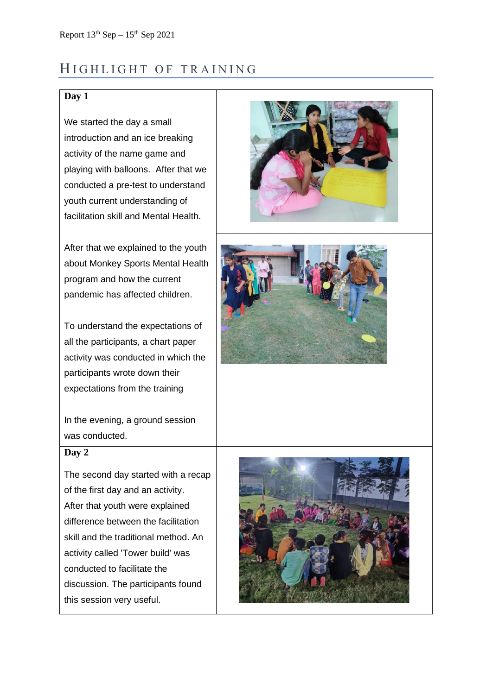### <span id="page-6-0"></span>HIGHLIGHT OF TRAINING

### **Day 1**

We started the day a small introduction and an ice breaking activity of the name game and playing with balloons. After that we conducted a pre-test to understand youth current understanding of facilitation skill and Mental Health.

After that we explained to the youth about Monkey Sports Mental Health program and how the current pandemic has affected children.

To understand the expectations of all the participants, a chart paper activity was conducted in which the participants wrote down their expectations from the training

In the evening, a ground session was conducted.

#### **Day 2**

The second day started with a recap of the first day and an activity. After that youth were explained difference between the facilitation skill and the traditional method. An activity called 'Tower build' was conducted to facilitate the discussion. The participants found this session very useful.





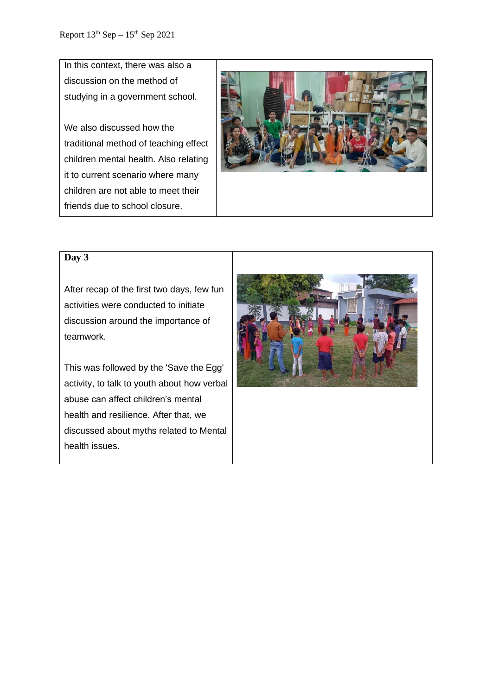In this context, there was also a discussion on the method of studying in a government school.

We also discussed how the traditional method of teaching effect children mental health. Also relating it to current scenario where many children are not able to meet their friends due to school closure.



#### **Day 3**

After recap of the first two days, few fun activities were conducted to initiate discussion around the importance of teamwork.

This was followed by the 'Save the Egg' activity, to talk to youth about how verbal abuse can affect children's mental health and resilience. After that, we discussed about myths related to Mental health issues.

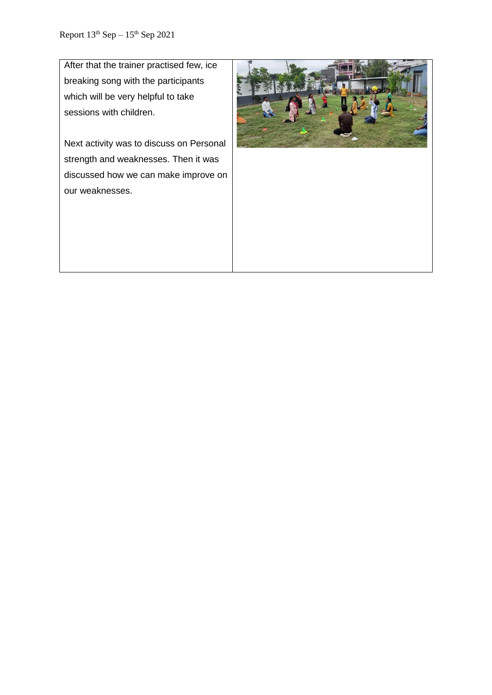After that the trainer practised few, ice breaking song with the participants which will be very helpful to take sessions with children.

Next activity was to discuss on Personal strength and weaknesses. Then it was discussed how we can make improve on our weaknesses.

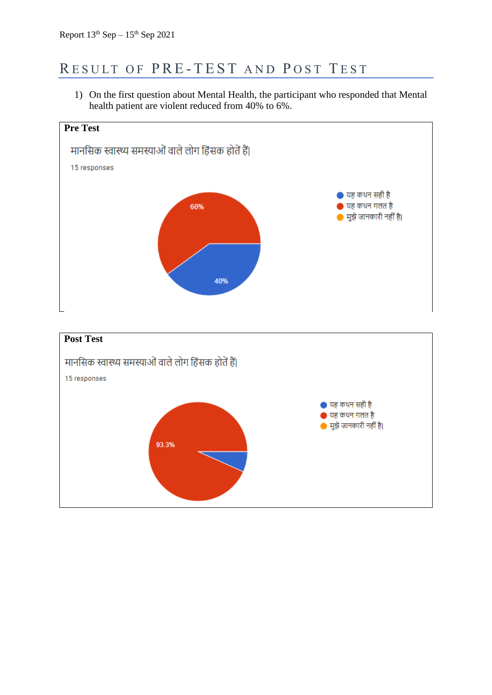## <span id="page-9-0"></span>RESULT OF PRE-TEST AND POST TEST

1) On the first question about Mental Health, the participant who responded that Mental health patient are violent reduced from 40% to 6%.

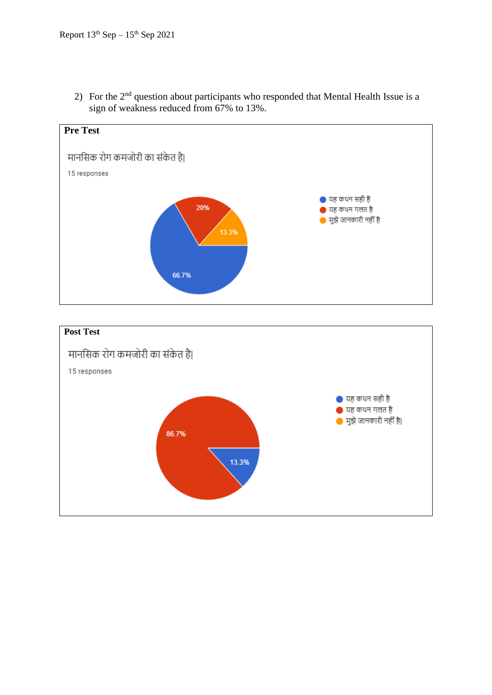

2) For the  $2<sup>nd</sup>$  question about participants who responded that Mental Health Issue is a sign of weakness reduced from 67% to 13%.

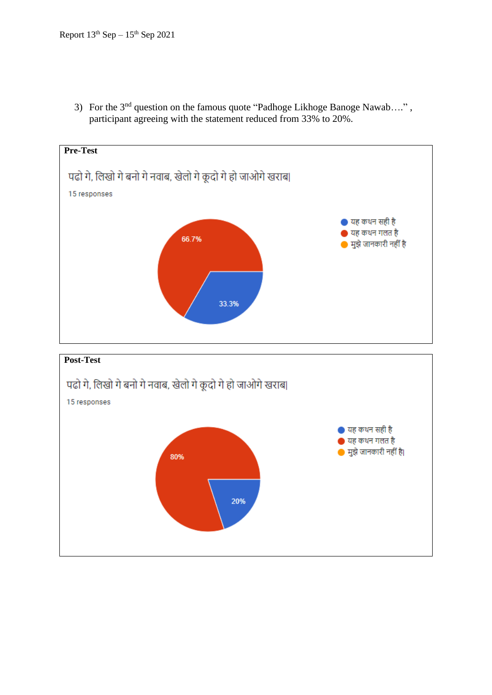3) For the 3<sup>nd</sup> question on the famous quote "Padhoge Likhoge Banoge Nawab....", participant agreeing with the statement reduced from 33% to 20%.

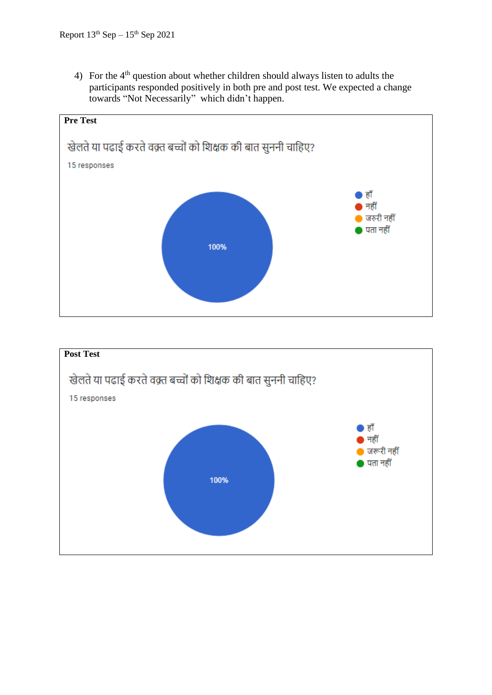4) For the  $4<sup>th</sup>$  question about whether children should always listen to adults the participants responded positively in both pre and post test. We expected a change towards "Not Necessarily" which didn't happen.



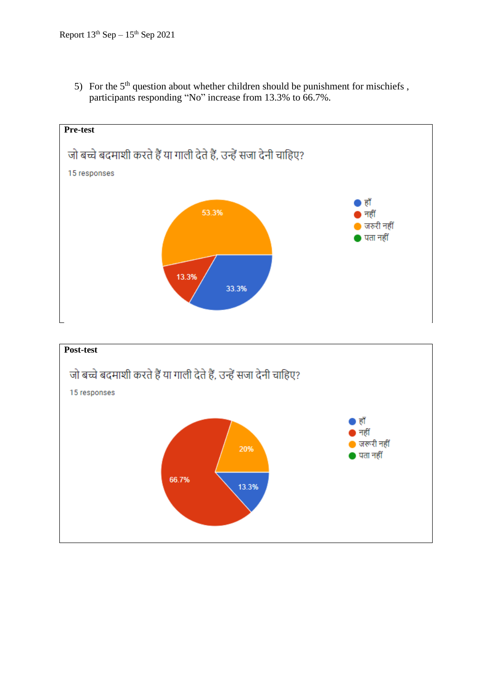5) For the  $5<sup>th</sup>$  question about whether children should be punishment for mischiefs, participants responding "No" increase from 13.3% to 66.7%.

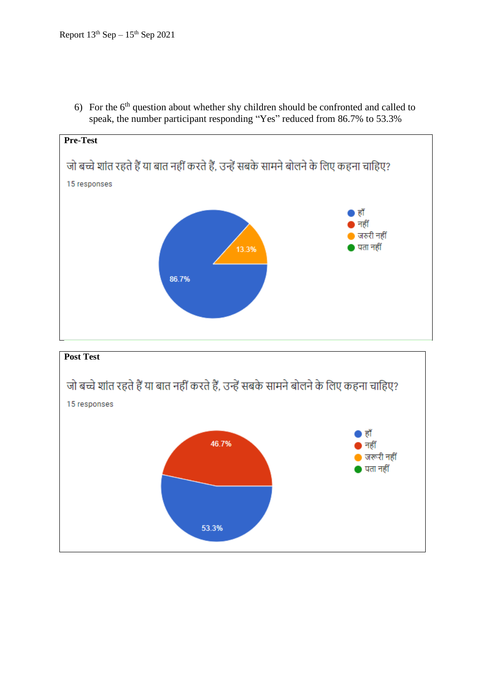6) For the  $6<sup>th</sup>$  question about whether shy children should be confronted and called to speak, the number participant responding "Yes" reduced from 86.7% to 53.3%



53.3%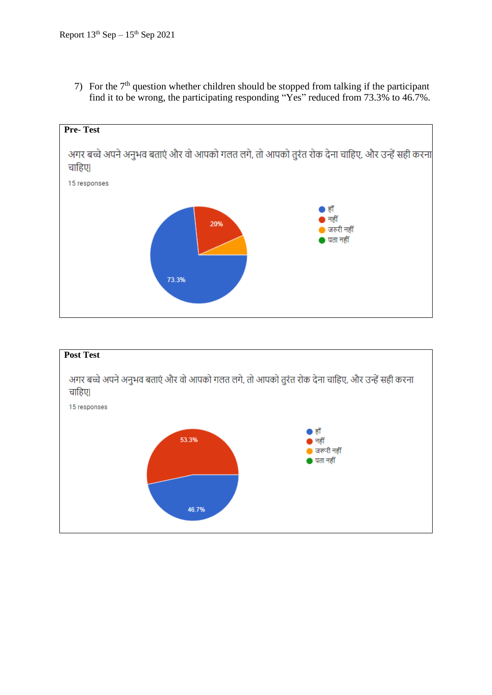7) For the  $7<sup>th</sup>$  question whether children should be stopped from talking if the participant find it to be wrong, the participating responding "Yes" reduced from 73.3% to 46.7%.



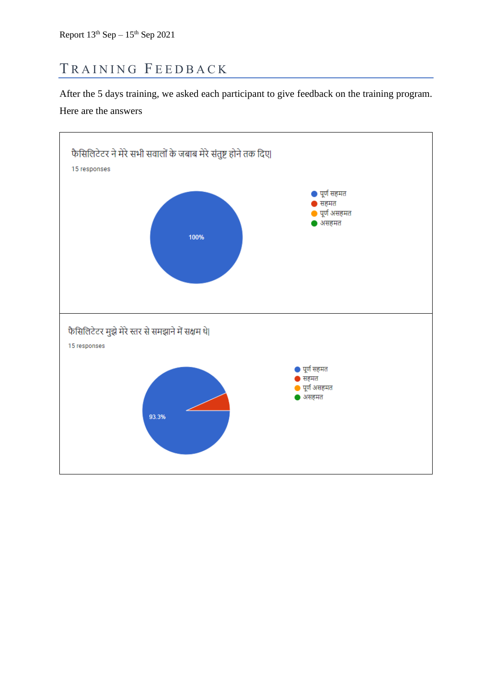## <span id="page-16-0"></span>TRAINING FEEDBACK

After the 5 days training, we asked each participant to give feedback on the training program. Here are the answers

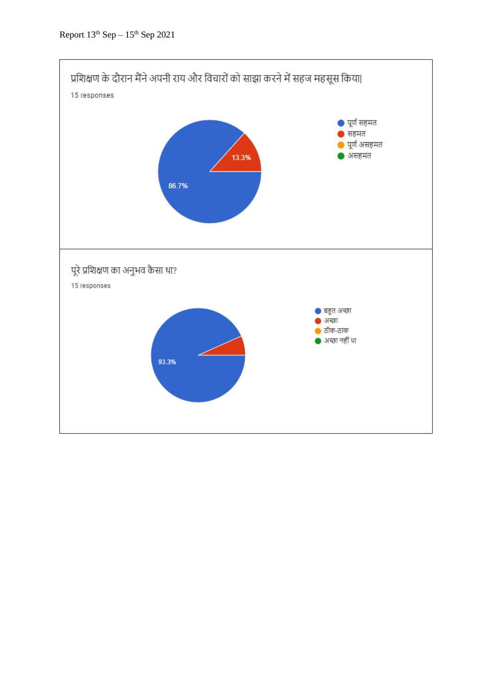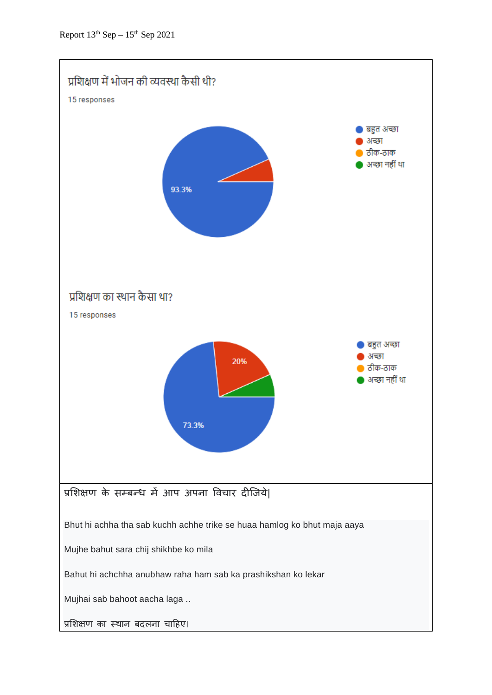